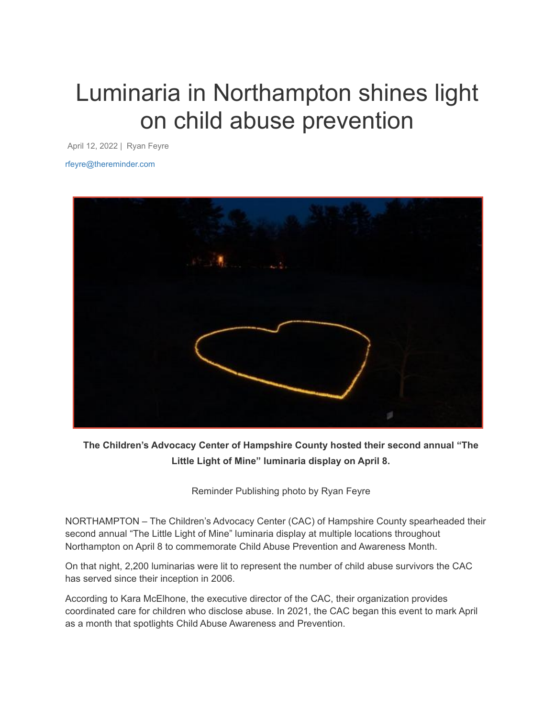## Luminaria in Northampton shines light on child abuse prevention

April 12, 2022 | Ryan Feyre

rfeyre@thereminder.com



**The Children's Advocacy Center of Hampshire County hosted their second annual "The Little Light of Mine" luminaria display on April 8.**

Reminder Publishing photo by Ryan Feyre

NORTHAMPTON – The Children's Advocacy Center (CAC) of Hampshire County spearheaded their second annual "The Little Light of Mine" luminaria display at multiple locations throughout Northampton on April 8 to commemorate Child Abuse Prevention and Awareness Month.

On that night, 2,200 luminarias were lit to represent the number of child abuse survivors the CAC has served since their inception in 2006.

According to Kara McElhone, the executive director of the CAC, their organization provides coordinated care for children who disclose abuse. In 2021, the CAC began this event to mark April as a month that spotlights Child Abuse Awareness and Prevention.